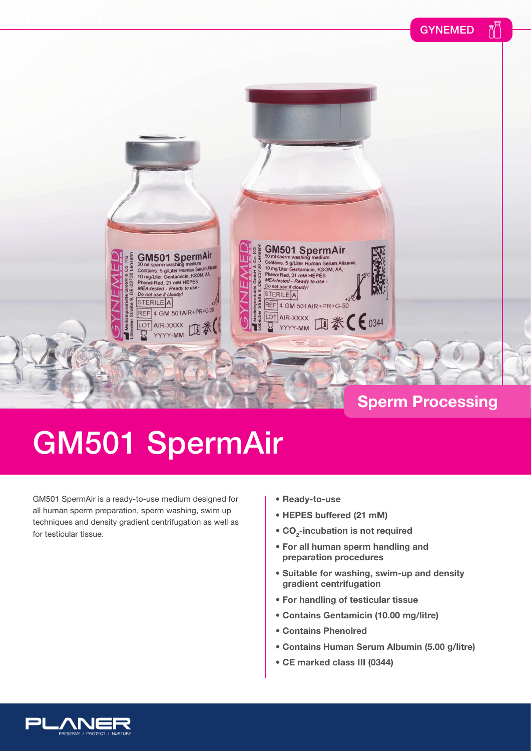



### **Sperm Processing**

## GM501 SpermAir

GM501 SpermAir is a ready-to-use medium designed for all human sperm preparation, sperm washing, swim up techniques and density gradient centrifugation as well as for testicular tissue.

- **Ready-to-use**
- **HEPES buffered (21 mM)**
- **CO<sub>2</sub>-incubation is not required**
- **For all human sperm handling and preparation procedures**
- **Suitable for washing, swim-up and density gradient centrifugation**
- **For handling of testicular tissue**
- **Contains Gentamicin (10.00 mg/litre)**
- **Contains Phenolred**
- **Contains Human Serum Albumin (5.00 g/litre)**
- **CE marked class III (0344)**